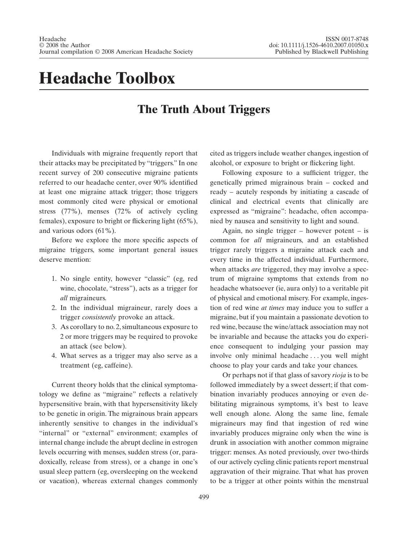## **Headache Toolbox**

## **The Truth About Triggers**

Individuals with migraine frequently report that their attacks may be precipitated by "triggers." In one recent survey of 200 consecutive migraine patients referred to our headache center, over 90% identified at least one migraine attack trigger; those triggers most commonly cited were physical or emotional stress (77%), menses (72% of actively cycling females), exposure to bright or flickering light (65%), and various odors (61%).

Before we explore the more specific aspects of migraine triggers, some important general issues deserve mention:

- 1. No single entity, however "classic" (eg, red wine, chocolate, "stress"), acts as a trigger for *all* migraineurs.
- 2. In the individual migraineur, rarely does a trigger *consistently* provoke an attack.
- 3. As corollary to no. 2, simultaneous exposure to 2 or more triggers may be required to provoke an attack (see below).
- 4. What serves as a trigger may also serve as a treatment (eg, caffeine).

Current theory holds that the clinical symptomatology we define as "migraine" reflects a relatively hypersensitive brain, with that hypersensitivity likely to be genetic in origin. The migrainous brain appears inherently sensitive to changes in the individual's "internal" or "external" environment; examples of internal change include the abrupt decline in estrogen levels occurring with menses, sudden stress (or, paradoxically, release from stress), or a change in one's usual sleep pattern (eg, oversleeping on the weekend or vacation), whereas external changes commonly

cited as triggers include weather changes, ingestion of alcohol, or exposure to bright or flickering light.

Following exposure to a sufficient trigger, the genetically primed migrainous brain – cocked and ready – acutely responds by initiating a cascade of clinical and electrical events that clinically are expressed as "migraine": headache, often accompanied by nausea and sensitivity to light and sound.

Again, no single trigger – however potent – is common for *all* migraineurs, and an established trigger rarely triggers a migraine attack each and every time in the affected individual. Furthermore, when attacks *are* triggered, they may involve a spectrum of migraine symptoms that extends from no headache whatsoever (ie, aura only) to a veritable pit of physical and emotional misery. For example, ingestion of red wine *at times* may induce you to suffer a migraine, but if you maintain a passionate devotion to red wine, because the wine/attack association may not be invariable and because the attacks you do experience consequent to indulging your passion may involve only minimal headache . . . you well might choose to play your cards and take your chances.

Or perhaps not if that glass of savory *rioja* is to be followed immediately by a sweet dessert; if that combination invariably produces annoying or even debilitating migrainous symptoms, it's best to leave well enough alone. Along the same line, female migraineurs may find that ingestion of red wine invariably produces migraine only when the wine is drunk in association with another common migraine trigger: menses. As noted previously, over two-thirds of our actively cycling clinic patients report menstrual aggravation of their migraine. That what has proven to be a trigger at other points within the menstrual